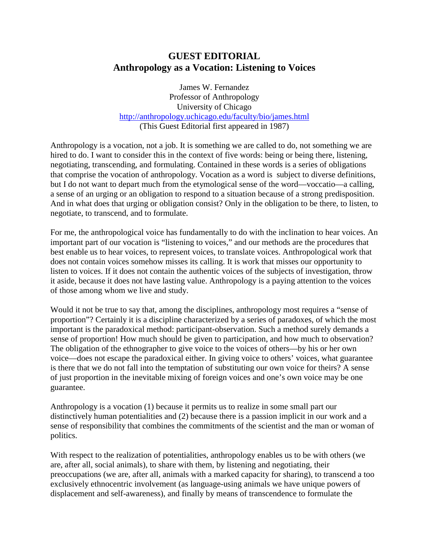## **GUEST EDITORIAL Anthropology as a Vocation: Listening to Voices**

James W. Fernandez Professor of Anthropology University of Chicago http://anthropology.uchicago.edu/faculty/bio/james.html (This Guest Editorial first appeared in 1987)

Anthropology is a vocation, not a job. It is something we are called to do, not something we are hired to do. I want to consider this in the context of five words: being or being there, listening, negotiating, transcending, and formulating. Contained in these words is a series of obligations that comprise the vocation of anthropology. Vocation as a word is subject to diverse definitions, but I do not want to depart much from the etymological sense of the word—voccatio—a calling, a sense of an urging or an obligation to respond to a situation because of a strong predisposition. And in what does that urging or obligation consist? Only in the obligation to be there, to listen, to negotiate, to transcend, and to formulate.

For me, the anthropological voice has fundamentally to do with the inclination to hear voices. An important part of our vocation is "listening to voices," and our methods are the procedures that best enable us to hear voices, to represent voices, to translate voices. Anthropological work that does not contain voices somehow misses its calling. It is work that misses our opportunity to listen to voices. If it does not contain the authentic voices of the subjects of investigation, throw it aside, because it does not have lasting value. Anthropology is a paying attention to the voices of those among whom we live and study.

Would it not be true to say that, among the disciplines, anthropology most requires a "sense of proportion"? Certainly it is a discipline characterized by a series of paradoxes, of which the most important is the paradoxical method: participant-observation. Such a method surely demands a sense of proportion! How much should be given to participation, and how much to observation? The obligation of the ethnographer to give voice to the voices of others—by his or her own voice—does not escape the paradoxical either. In giving voice to others' voices, what guarantee is there that we do not fall into the temptation of substituting our own voice for theirs? A sense of just proportion in the inevitable mixing of foreign voices and one's own voice may be one guarantee.

Anthropology is a vocation (1) because it permits us to realize in some small part our distinctively human potentialities and (2) because there is a passion implicit in our work and a sense of responsibility that combines the commitments of the scientist and the man or woman of politics.

With respect to the realization of potentialities, anthropology enables us to be with others (we are, after all, social animals), to share with them, by listening and negotiating, their preoccupations (we are, after all, animals with a marked capacity for sharing), to transcend a too exclusively ethnocentric involvement (as language-using animals we have unique powers of displacement and self-awareness), and finally by means of transcendence to formulate the